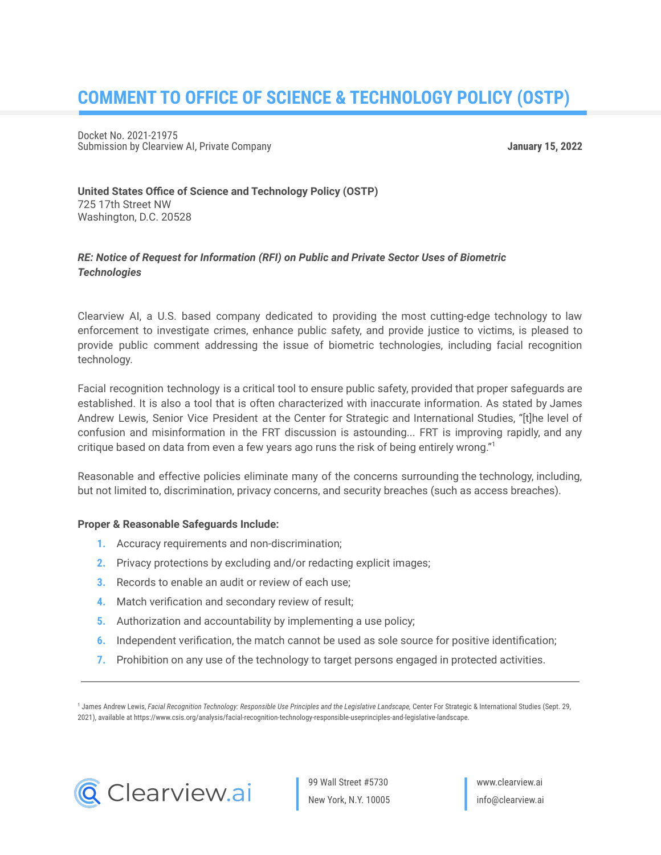# **COMMENT TO OFFICE OF SCIENCE & TECHNOLOGY POLICY (OSTP)**

Docket No. 2021-21975 Submission by Clearview AI, Private Company **January 15, 2022**

**United States Office of Science and Technology Policy (OSTP)** 725 17th Street NW Washington, D.C. 20528

## *RE: Notice of Request for Information (RFI) on Public and Private Sector Uses of Biometric Technologies*

Clearview AI, a U.S. based company dedicated to providing the most cutting-edge technology to law enforcement to investigate crimes, enhance public safety, and provide justice to victims, is pleased to provide public comment addressing the issue of biometric technologies, including facial recognition technology.

Facial recognition technology is a critical tool to ensure public safety, provided that proper safeguards are established. It is also a tool that is often characterized with inaccurate information. As stated by James Andrew Lewis, Senior Vice President at the Center for Strategic and International Studies, "[t]he level of confusion and misinformation in the FRT discussion is astounding... FRT is improving rapidly, and any critique based on data from even a few years ago runs the risk of being entirely wrong." 1

Reasonable and effective policies eliminate many of the concerns surrounding the technology, including, but not limited to, discrimination, privacy concerns, and security breaches (such as access breaches).

#### **Proper & Reasonable Safeguards Include:**

- **1.** Accuracy requirements and non-discrimination;
- **2.** Privacy protections by excluding and/or redacting explicit images;
- **3.** Records to enable an audit or review of each use;
- **4.** Match verification and secondary review of result;
- **5.** Authorization and accountability by implementing a use policy;
- **6.** Independent verification, the match cannot be used as sole source for positive identification;
- **7.** Prohibition on any use of the technology to target persons engaged in protected activities.

<sup>1</sup> James Andrew Lewis, Facial Recognition Technology: Responsible Use Principles and the Legislative Landscape, Center For Strategic & International Studies (Sept. 29, 2021), available at https://www.csis.org/analysis/facial-recognition-technology-responsible-useprinciples-and-legislative-landscape.



99 Wall Street #5730 New York, N.Y. 10005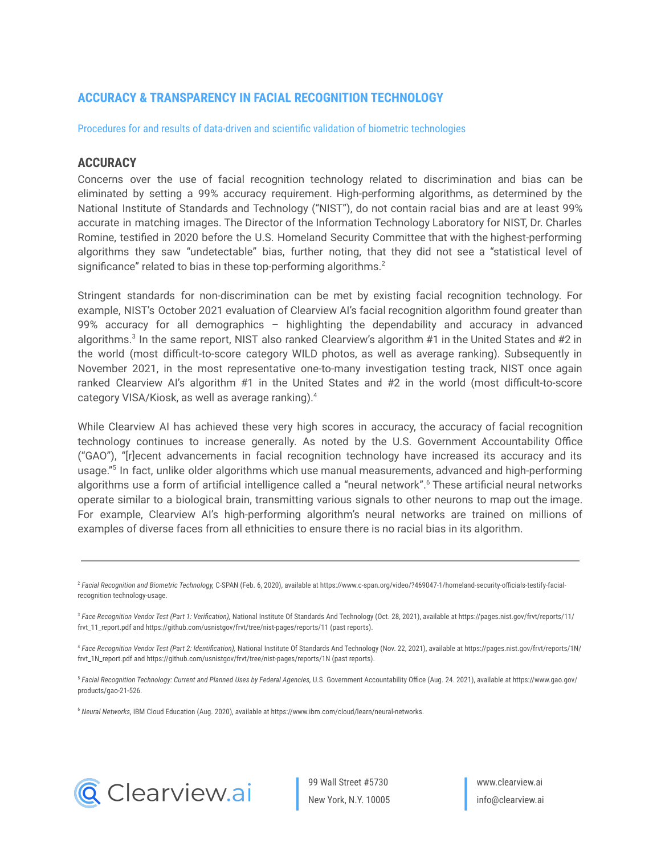## **ACCURACY & TRANSPARENCY IN FACIAL RECOGNITION TECHNOLOGY**

Procedures for and results of data-driven and scientific validation of biometric technologies

#### **ACCURACY**

Concerns over the use of facial recognition technology related to discrimination and bias can be eliminated by setting a 99% accuracy requirement. High-performing algorithms, as determined by the National Institute of Standards and Technology ("NIST"), do not contain racial bias and are at least 99% accurate in matching images. The Director of the Information Technology Laboratory for NIST, Dr. Charles Romine, testified in 2020 before the U.S. Homeland Security Committee that with the highest-performing algorithms they saw "undetectable" bias, further noting, that they did not see a "statistical level of significance" related to bias in these top-performing algorithms.<sup>2</sup>

Stringent standards for non-discrimination can be met by existing facial recognition technology. For example, NIST's October 2021 evaluation of Clearview AI's facial recognition algorithm found greater than 99% accuracy for all demographics – highlighting the dependability and accuracy in advanced algorithms.<sup>3</sup> In the same report, NIST also ranked Clearview's algorithm #1 in the United States and #2 in the world (most difficult-to-score category WILD photos, as well as average ranking). Subsequently in November 2021, in the most representative one-to-many investigation testing track, NIST once again ranked Clearview AI's algorithm #1 in the United States and #2 in the world (most difficult-to-score category VISA/Kiosk, as well as average ranking). 4

While Clearview AI has achieved these very high scores in accuracy, the accuracy of facial recognition technology continues to increase generally. As noted by the U.S. Government Accountability Office ("GAO"), "[r]ecent advancements in facial recognition technology have increased its accuracy and its usage." 5 In fact, unlike older algorithms which use manual measurements, advanced and high-performing algorithms use a form of artificial intelligence called a "neural network". <sup>6</sup> These artificial neural networks operate similar to a biological brain, transmitting various signals to other neurons to map out the image. For example, Clearview AI's high-performing algorithm's neural networks are trained on millions of examples of diverse faces from all ethnicities to ensure there is no racial bias in its algorithm.

<sup>6</sup> *Neural Networks,* IBM Cloud Education (Aug. 2020), available at https://www.ibm.com/cloud/learn/neural-networks.



99 Wall Street #5730 New York, N.Y. 10005

<sup>2</sup> *Facial Recognition and Biometric Technology,* C-SPAN (Feb. 6, 2020), available at https://www.c-span.org/video/?469047-1/homeland-security-officials-testify-facialrecognition technology-usage.

<sup>3</sup> *Face Recognition Vendor Test (Part 1: Verification),* National Institute Of Standards And Technology (Oct. 28, 2021), available at https://pages.nist.gov/frvt/reports/11/ frvt\_11\_report.pdf and https://github.com/usnistgov/frvt/tree/nist-pages/reports/11 (past reports).

<sup>4</sup> *Face Recognition Vendor Test (Part 2: Identification),* National Institute Of Standards And Technology (Nov. 22, 2021), available at https://pages.nist.gov/frvt/reports/1N/ frvt\_1N\_report.pdf and https://github.com/usnistgov/frvt/tree/nist-pages/reports/1N (past reports).

<sup>&</sup>lt;sup>5</sup> Facial Recognition Technology: Current and Planned Uses by Federal Agencies, U.S. Government Accountability Office (Aug. 24. 2021), available at https://www.gao.gov/ products/gao-21-526.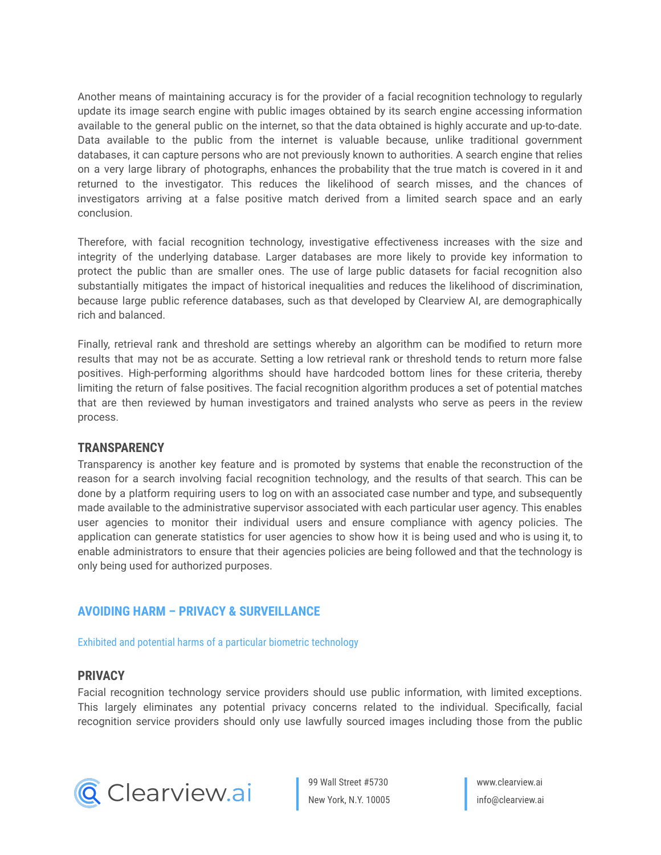Another means of maintaining accuracy is for the provider of a facial recognition technology to regularly update its image search engine with public images obtained by its search engine accessing information available to the general public on the internet, so that the data obtained is highly accurate and up-to-date. Data available to the public from the internet is valuable because, unlike traditional government databases, it can capture persons who are not previously known to authorities. A search engine that relies on a very large library of photographs, enhances the probability that the true match is covered in it and returned to the investigator. This reduces the likelihood of search misses, and the chances of investigators arriving at a false positive match derived from a limited search space and an early conclusion.

Therefore, with facial recognition technology, investigative effectiveness increases with the size and integrity of the underlying database. Larger databases are more likely to provide key information to protect the public than are smaller ones. The use of large public datasets for facial recognition also substantially mitigates the impact of historical inequalities and reduces the likelihood of discrimination, because large public reference databases, such as that developed by Clearview AI, are demographically rich and balanced.

Finally, retrieval rank and threshold are settings whereby an algorithm can be modified to return more results that may not be as accurate. Setting a low retrieval rank or threshold tends to return more false positives. High-performing algorithms should have hardcoded bottom lines for these criteria, thereby limiting the return of false positives. The facial recognition algorithm produces a set of potential matches that are then reviewed by human investigators and trained analysts who serve as peers in the review process.

## **TRANSPARENCY**

Transparency is another key feature and is promoted by systems that enable the reconstruction of the reason for a search involving facial recognition technology, and the results of that search. This can be done by a platform requiring users to log on with an associated case number and type, and subsequently made available to the administrative supervisor associated with each particular user agency. This enables user agencies to monitor their individual users and ensure compliance with agency policies. The application can generate statistics for user agencies to show how it is being used and who is using it, to enable administrators to ensure that their agencies policies are being followed and that the technology is only being used for authorized purposes.

## **AVOIDING HARM – PRIVACY & SURVEILLANCE**

Exhibited and potential harms of a particular biometric technology

## **PRIVACY**

Facial recognition technology service providers should use public information, with limited exceptions. This largely eliminates any potential privacy concerns related to the individual. Specifically, facial recognition service providers should only use lawfully sourced images including those from the public



99 Wall Street #5730 New York, N.Y. 10005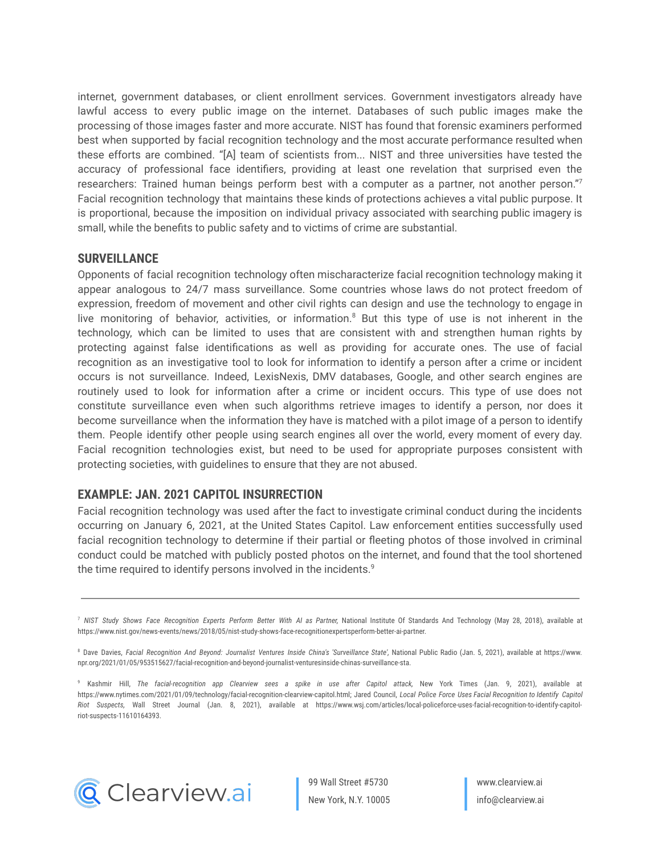internet, government databases, or client enrollment services. Government investigators already have lawful access to every public image on the internet. Databases of such public images make the processing of those images faster and more accurate. NIST has found that forensic examiners performed best when supported by facial recognition technology and the most accurate performance resulted when these efforts are combined. "[A] team of scientists from... NIST and three universities have tested the accuracy of professional face identifiers, providing at least one revelation that surprised even the researchers: Trained human beings perform best with a computer as a partner, not another person."7 Facial recognition technology that maintains these kinds of protections achieves a vital public purpose. It is proportional, because the imposition on individual privacy associated with searching public imagery is small, while the benefits to public safety and to victims of crime are substantial.

## **SURVEILLANCE**

Opponents of facial recognition technology often mischaracterize facial recognition technology making it appear analogous to 24/7 mass surveillance. Some countries whose laws do not protect freedom of expression, freedom of movement and other civil rights can design and use the technology to engage in live monitoring of behavior, activities, or information. <sup>8</sup> But this type of use is not inherent in the technology, which can be limited to uses that are consistent with and strengthen human rights by protecting against false identifications as well as providing for accurate ones. The use of facial recognition as an investigative tool to look for information to identify a person after a crime or incident occurs is not surveillance. Indeed, LexisNexis, DMV databases, Google, and other search engines are routinely used to look for information after a crime or incident occurs. This type of use does not constitute surveillance even when such algorithms retrieve images to identify a person, nor does it become surveillance when the information they have is matched with a pilot image of a person to identify them. People identify other people using search engines all over the world, every moment of every day. Facial recognition technologies exist, but need to be used for appropriate purposes consistent with protecting societies, with guidelines to ensure that they are not abused.

## **EXAMPLE: JAN. 2021 CAPITOL INSURRECTION**

Facial recognition technology was used after the fact to investigate criminal conduct during the incidents occurring on January 6, 2021, at the United States Capitol. Law enforcement entities successfully used facial recognition technology to determine if their partial or fleeting photos of those involved in criminal conduct could be matched with publicly posted photos on the internet, and found that the tool shortened the time required to identify persons involved in the incidents. 9



<sup>&</sup>lt;sup>7</sup> NIST Study Shows Face Recognition Experts Perform Better With AI as Partner, National Institute Of Standards And Technology (May 28, 2018), available at https://www.nist.gov/news-events/news/2018/05/nist-study-shows-face-recognitionexpertsperform-better-ai-partner.

<sup>&</sup>lt;sup>8</sup> Dave Davies, Facial Recognition And Beyond: Journalist Ventures Inside China's 'Surveillance State', National Public Radio (Jan. 5, 2021), available at https://www. npr.org/2021/01/05/953515627/facial-recognition-and-beyond-journalist-venturesinside-chinas-surveillance-sta.

<sup>9</sup> Kashmir Hill, *The facial-recognition app Clearview sees a spike in use after Capitol attack,* New York Times (Jan. 9, 2021), available at https://www.nytimes.com/2021/01/09/technology/facial-recognition-clearview-capitol.html; Jared Council, Local Police Force Uses Facial Recognition to Identify Capitol *Riot Suspects,* Wall Street Journal (Jan. 8, 2021), available at https://www.wsj.com/articles/local-policeforce-uses-facial-recognition-to-identify-capitolriot-suspects-11610164393.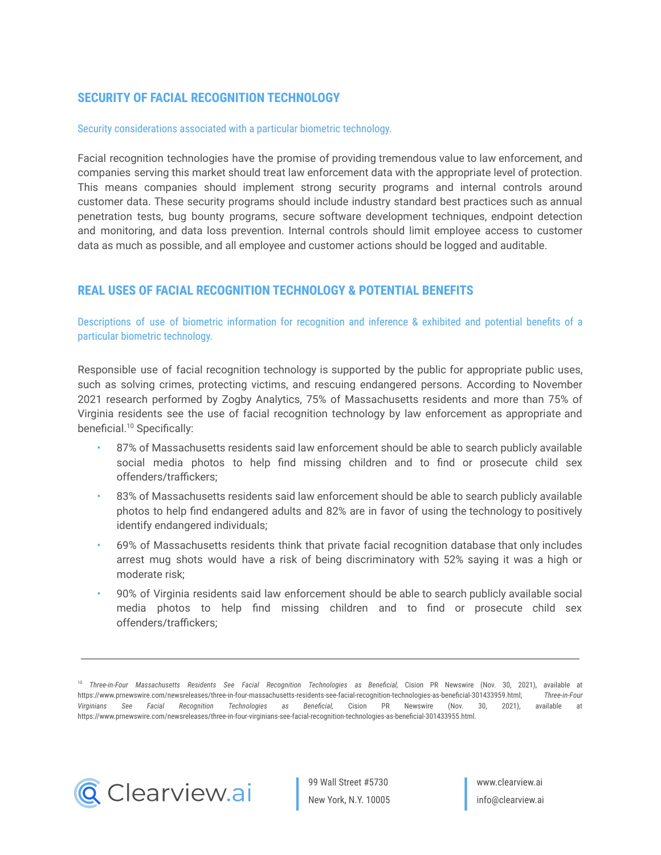## **SECURITY OF FACIAL RECOGNITION TECHNOLOGY**

#### Security considerations associated with a particular biometric technology.

Facial recognition technologies have the promise of providing tremendous value to law enforcement, and companies serving this market should treat law enforcement data with the appropriate level of protection. This means companies should implement strong security programs and internal controls around customer data. These security programs should include industry standard best practices such as annual penetration tests, bug bounty programs, secure software development techniques, endpoint detection and monitoring, and data loss prevention. Internal controls should limit employee access to customer data as much as possible, and all employee and customer actions should be logged and auditable.

## **REAL USES OF FACIAL RECOGNITION TECHNOLOGY & POTENTIAL BENEFITS**

Descriptions of use of biometric information for recognition and inference & exhibited and potential benefits of a particular biometric technology.

Responsible use of facial recognition technology is supported by the public for appropriate public uses, such as solving crimes, protecting victims, and rescuing endangered persons. According to November 2021 research performed by Zogby Analytics, 75% of Massachusetts residents and more than 75% of Virginia residents see the use of facial recognition technology by law enforcement as appropriate and beneficial. <sup>10</sup> Specifically:

- 87% of Massachusetts residents said law enforcement should be able to search publicly available social media photos to help find missing children and to find or prosecute child sex offenders/traffickers;
- 83% of Massachusetts residents said law enforcement should be able to search publicly available photos to help find endangered adults and 82% are in favor of using the technology to positively identify endangered individuals;
- 69% of Massachusetts residents think that private facial recognition database that only includes arrest mug shots would have a risk of being discriminatory with 52% saying it was a high or moderate risk;
- 90% of Virginia residents said law enforcement should be able to search publicly available social media photos to help find missing children and to find or prosecute child sex offenders/traffickers;



<sup>10</sup> *Three-in-Four Massachusetts Residents See Facial Recognition Technologies as Beneficial,* Cision PR Newswire (Nov. 30, 2021), available at https://www.prnewswire.com/newsreleases/three-in-four-massachusetts-residents-see-facial-recognition-technologies-as-beneficial-301433959.html; *Three-in-Four Virginians See Facial Recognition Technologies as Beneficial,* Cision PR Newswire (Nov. 30, 2021), available at https://www.prnewswire.com/newsreleases/three-in-four-virginians-see-facial-recognition-technologies-as-beneficial-301433955.html.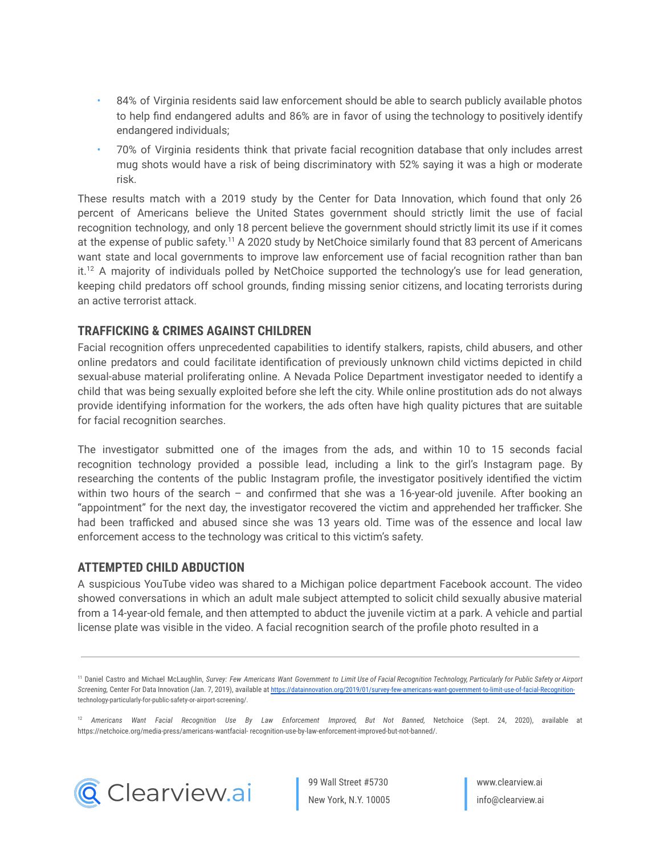- 84% of Virginia residents said law enforcement should be able to search publicly available photos to help find endangered adults and 86% are in favor of using the technology to positively identify endangered individuals;
- 70% of Virginia residents think that private facial recognition database that only includes arrest mug shots would have a risk of being discriminatory with 52% saying it was a high or moderate risk.

These results match with a 2019 study by the Center for Data Innovation, which found that only 26 percent of Americans believe the United States government should strictly limit the use of facial recognition technology, and only 18 percent believe the government should strictly limit its use if it comes at the expense of public safety.<sup>11</sup> A 2020 study by NetChoice similarly found that 83 percent of Americans want state and local governments to improve law enforcement use of facial recognition rather than ban it.<sup>12</sup> A majority of individuals polled by NetChoice supported the technology's use for lead generation, keeping child predators off school grounds, finding missing senior citizens, and locating terrorists during an active terrorist attack.

## **TRAFFICKING & CRIMES AGAINST CHILDREN**

Facial recognition offers unprecedented capabilities to identify stalkers, rapists, child abusers, and other online predators and could facilitate identification of previously unknown child victims depicted in child sexual-abuse material proliferating online. A Nevada Police Department investigator needed to identify a child that was being sexually exploited before she left the city. While online prostitution ads do not always provide identifying information for the workers, the ads often have high quality pictures that are suitable for facial recognition searches.

The investigator submitted one of the images from the ads, and within 10 to 15 seconds facial recognition technology provided a possible lead, including a link to the girl's Instagram page. By researching the contents of the public Instagram profile, the investigator positively identified the victim within two hours of the search – and confirmed that she was a 16-year-old juvenile. After booking an "appointment" for the next day, the investigator recovered the victim and apprehended her trafficker. She had been trafficked and abused since she was 13 years old. Time was of the essence and local law enforcement access to the technology was critical to this victim's safety.

## **ATTEMPTED CHILD ABDUCTION**

A suspicious YouTube video was shared to a Michigan police department Facebook account. The video showed conversations in which an adult male subject attempted to solicit child sexually abusive material from a 14-year-old female, and then attempted to abduct the juvenile victim at a park. A vehicle and partial license plate was visible in the video. A facial recognition search of the profile photo resulted in a

<sup>12</sup> *Americans Want Facial Recognition Use By Law Enforcement Improved, But Not Banned,* Netchoice (Sept. 24, 2020), available at https://netchoice.org/media-press/americans-wantfacial- recognition-use-by-law-enforcement-improved-but-not-banned/.



<sup>&</sup>lt;sup>11</sup> Daniel Castro and Michael McLaughlin, Survey: Few Americans Want Government to Limit Use of Facial Recognition Technology, Particularly for Public Safety or Airport *Screening,* Center For Data Innovation (Jan. 7, 2019), available at [https://datainnovation.org/2019/01/survey-few-americans-want-government-to-limit-use-of-facial-Recognition](https://datainnovation.org/2019/01/survey-few-americans-want-government-to-limit-use-of-facial-Recognition-)technology-particularly-for-public-safety-or-airport-screening/.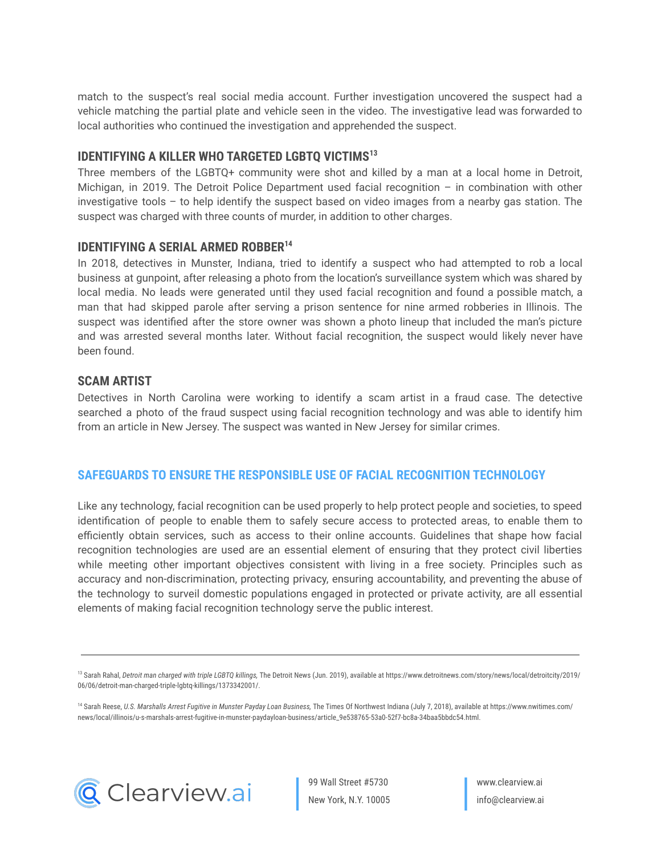match to the suspect's real social media account. Further investigation uncovered the suspect had a vehicle matching the partial plate and vehicle seen in the video. The investigative lead was forwarded to local authorities who continued the investigation and apprehended the suspect.

## **IDENTIFYING A KILLER WHO TARGETED LGBTQ VICTIMS<sup>13</sup>**

Three members of the LGBTQ+ community were shot and killed by a man at a local home in Detroit, Michigan, in 2019. The Detroit Police Department used facial recognition – in combination with other investigative tools – to help identify the suspect based on video images from a nearby gas station. The suspect was charged with three counts of murder, in addition to other charges.

## **IDENTIFYING A SERIAL ARMED ROBBER<sup>14</sup>**

In 2018, detectives in Munster, Indiana, tried to identify a suspect who had attempted to rob a local business at gunpoint, after releasing a photo from the location's surveillance system which was shared by local media. No leads were generated until they used facial recognition and found a possible match, a man that had skipped parole after serving a prison sentence for nine armed robberies in Illinois. The suspect was identified after the store owner was shown a photo lineup that included the man's picture and was arrested several months later. Without facial recognition, the suspect would likely never have been found.

#### **SCAM ARTIST**

Detectives in North Carolina were working to identify a scam artist in a fraud case. The detective searched a photo of the fraud suspect using facial recognition technology and was able to identify him from an article in New Jersey. The suspect was wanted in New Jersey for similar crimes.

## **SAFEGUARDS TO ENSURE THE RESPONSIBLE USE OF FACIAL RECOGNITION TECHNOLOGY**

Like any technology, facial recognition can be used properly to help protect people and societies, to speed identification of people to enable them to safely secure access to protected areas, to enable them to efficiently obtain services, such as access to their online accounts. Guidelines that shape how facial recognition technologies are used are an essential element of ensuring that they protect civil liberties while meeting other important objectives consistent with living in a free society. Principles such as accuracy and non-discrimination, protecting privacy, ensuring accountability, and preventing the abuse of the technology to surveil domestic populations engaged in protected or private activity, are all essential elements of making facial recognition technology serve the public interest.

<sup>13</sup> Sarah Rahal, Detroit man charged with triple LGBTQ killings, The Detroit News (Jun. 2019), available at https://www.detroitnews.com/story/news/local/detroitcity/2019/ 06/06/detroit-man-charged-triple-lgbtq-killings/1373342001/.

<sup>14</sup> Sarah Reese, U.S. Marshalls Arrest Fugitive in Munster Payday Loan Business, The Times Of Northwest Indiana (July 7, 2018), available at https://www.nwitimes.com/ news/local/illinois/u-s-marshals-arrest-fugitive-in-munster-paydayloan-business/article\_9e538765-53a0-52f7-bc8a-34baa5bbdc54.html.



99 Wall Street #5730 New York, N.Y. 10005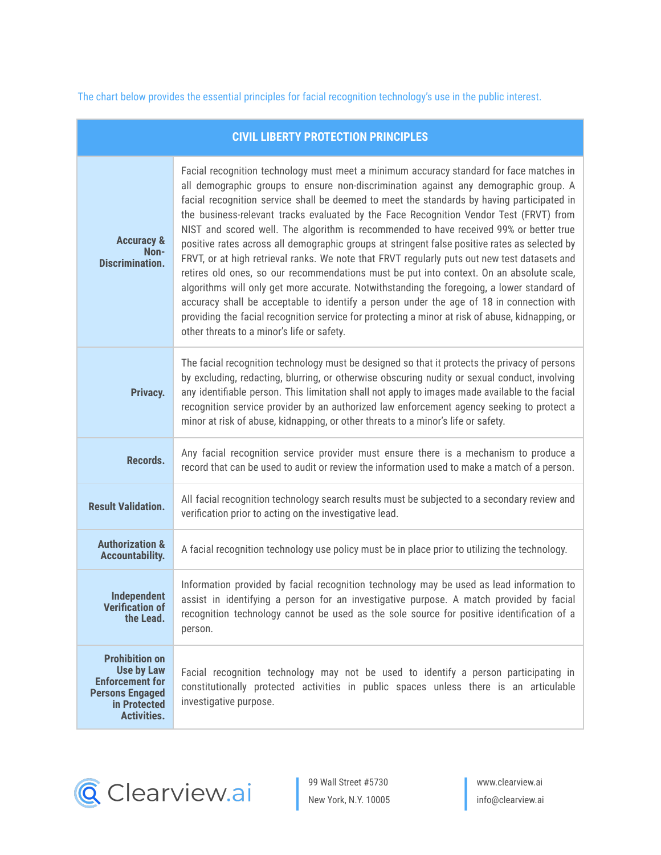The chart below provides the essential principles for facial recognition technology's use in the public interest.

| <b>CIVIL LIBERTY PROTECTION PRINCIPLES</b>                                                                                           |                                                                                                                                                                                                                                                                                                                                                                                                                                                                                                                                                                                                                                                                                                                                                                                                                                                                                                                                                                                                                                                                                                            |
|--------------------------------------------------------------------------------------------------------------------------------------|------------------------------------------------------------------------------------------------------------------------------------------------------------------------------------------------------------------------------------------------------------------------------------------------------------------------------------------------------------------------------------------------------------------------------------------------------------------------------------------------------------------------------------------------------------------------------------------------------------------------------------------------------------------------------------------------------------------------------------------------------------------------------------------------------------------------------------------------------------------------------------------------------------------------------------------------------------------------------------------------------------------------------------------------------------------------------------------------------------|
| <b>Accuracy &amp;</b><br>Non-<br><b>Discrimination.</b>                                                                              | Facial recognition technology must meet a minimum accuracy standard for face matches in<br>all demographic groups to ensure non-discrimination against any demographic group. A<br>facial recognition service shall be deemed to meet the standards by having participated in<br>the business-relevant tracks evaluated by the Face Recognition Vendor Test (FRVT) from<br>NIST and scored well. The algorithm is recommended to have received 99% or better true<br>positive rates across all demographic groups at stringent false positive rates as selected by<br>FRVT, or at high retrieval ranks. We note that FRVT regularly puts out new test datasets and<br>retires old ones, so our recommendations must be put into context. On an absolute scale,<br>algorithms will only get more accurate. Notwithstanding the foregoing, a lower standard of<br>accuracy shall be acceptable to identify a person under the age of 18 in connection with<br>providing the facial recognition service for protecting a minor at risk of abuse, kidnapping, or<br>other threats to a minor's life or safety. |
| Privacy.                                                                                                                             | The facial recognition technology must be designed so that it protects the privacy of persons<br>by excluding, redacting, blurring, or otherwise obscuring nudity or sexual conduct, involving<br>any identifiable person. This limitation shall not apply to images made available to the facial<br>recognition service provider by an authorized law enforcement agency seeking to protect a<br>minor at risk of abuse, kidnapping, or other threats to a minor's life or safety.                                                                                                                                                                                                                                                                                                                                                                                                                                                                                                                                                                                                                        |
| Records.                                                                                                                             | Any facial recognition service provider must ensure there is a mechanism to produce a<br>record that can be used to audit or review the information used to make a match of a person.                                                                                                                                                                                                                                                                                                                                                                                                                                                                                                                                                                                                                                                                                                                                                                                                                                                                                                                      |
| <b>Result Validation.</b>                                                                                                            | All facial recognition technology search results must be subjected to a secondary review and<br>verification prior to acting on the investigative lead.                                                                                                                                                                                                                                                                                                                                                                                                                                                                                                                                                                                                                                                                                                                                                                                                                                                                                                                                                    |
| <b>Authorization &amp;</b><br><b>Accountability.</b>                                                                                 | A facial recognition technology use policy must be in place prior to utilizing the technology.                                                                                                                                                                                                                                                                                                                                                                                                                                                                                                                                                                                                                                                                                                                                                                                                                                                                                                                                                                                                             |
| Independent<br><b>Verification of</b><br>the Lead.                                                                                   | Information provided by facial recognition technology may be used as lead information to<br>assist in identifying a person for an investigative purpose. A match provided by facial<br>recognition technology cannot be used as the sole source for positive identification of a<br>person.                                                                                                                                                                                                                                                                                                                                                                                                                                                                                                                                                                                                                                                                                                                                                                                                                |
| <b>Prohibition on</b><br><b>Use by Law</b><br><b>Enforcement for</b><br><b>Persons Engaged</b><br>in Protected<br><b>Activities.</b> | Facial recognition technology may not be used to identify a person participating in<br>constitutionally protected activities in public spaces unless there is an articulable<br>investigative purpose.                                                                                                                                                                                                                                                                                                                                                                                                                                                                                                                                                                                                                                                                                                                                                                                                                                                                                                     |